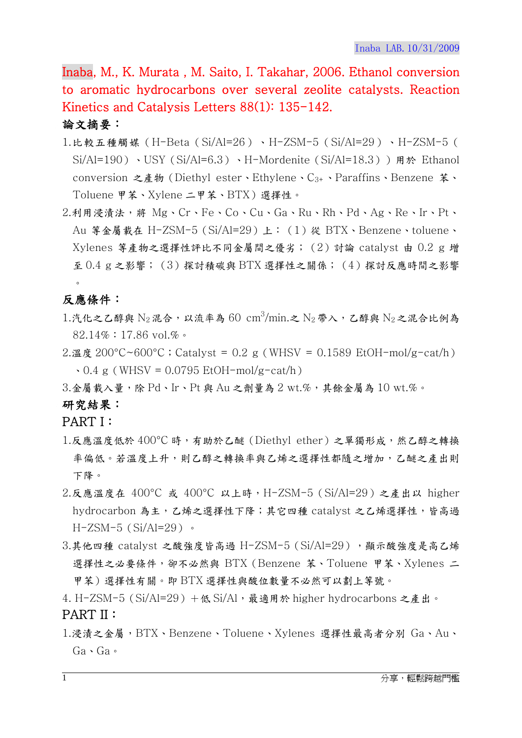Inaba, M., K. Murata , M. Saito, I. Takahar, 2006. Ethanol conversion to aromatic hydrocarbons over several zeolite catalysts. Reaction Kinetics and Catalysis Letters 88(1): 135-142.

## 論文摘要:

- 1.比較五種觸媒(H-Beta(Si/Al=26)、H-ZSM-5(Si/Al=29)、H-ZSM-5( Si/Al=190)、USY(Si/Al=6.3)、H-Mordenite(Si/Al=18.3))用於 Ethanol conversion 之產物(Diethyl ester、Ethylene、C3+、Paraffins、Benzene 苯、 Toluene 甲苯、Xylene 二甲苯、BTX)選擇性。
- 2.利用浸漬法,將 Mg、Cr、Fe、Co、Cu、Ga、Ru、Rh、Pd、Ag、Re、Ir、Pt、 Au 等金屬載在 H-ZSM-5(Si/Al=29)上:(1)從 BTX、Benzene、toluene、  $X$ ylenes 等產物之選擇性評比不同金屬間之優劣; (2)討論 catalyst 由  $0.2$  g 增 至 0.4 g 之影響;(3)探討積碳與 BTX 選擇性之關係;(4)探討反應時間之影響  $\circ$

## 反應條件:

- $1.\overset{\circ}{\tau}$ 化之乙醇與  $\mathrm{N}_2$ 混合, 以流率為 60 cm<sup>3</sup>/min.之  $\mathrm{N}_2$ 帶入, 乙醇與  $\mathrm{N}_2$ 之混合比例為 82.14%:17.86 vol.%。
- $2.\overline{\omega}$ 度 200°C~600°C; Catalyst = 0.2 g (WHSV = 0.1589 EtOH-mol/g-cat/h)  $\cdot$  0.4 g (WHSV = 0.0795 EtOH-mol/g-cat/h)
- $3.2$  屬載入量,除 Pd、Ir、Pt 與 Au 之劑量為  $2$  wt.%,其餘金屬為 10 wt.%。

## 研究結果:

- PART I:
- 1.反應溫度低於 400°C 時,有助於乙醚 (Diethyl ether) 之單獨形成,然乙醇之轉換 率偏低。若溫度上升,則乙醇之轉換率與乙烯之選擇性都隨之增加,乙醚之產出則 下降。
- 2.反應溫度在 400°C 或 400°C 以上時,H-ZSM-5(Si/Al=29)之產出以 higher hydrocarbon 為主,乙烯之選擇性下降;其它四種 catalyst 之乙烯選擇性,皆高過  $H-ZSM-5(Si/Al=29)$
- $3.$ 其他四種 catalyst 之酸強度皆高過 H-ZSM-5 (Si/Al=29), 顯示酸強度是高乙烯 選擇性之必要條件,卻不必然與 BTX(Benzene 苯、Toluene 甲苯、Xylenes 二 甲苯)選擇性有關。即 BTX 選擇性與酸位數量不必然可以劃上等號。
- 4. H-ZSM-5 (Si/Al=29) +低 Si/Al,最適用於 higher hydrocarbons 之產出。 PART II:
- 1.浸漬之金屬,BTX、Benzene、Toluene、Xylenes 選擇性最高者分別 Ga、Au、 Ga、Ga。